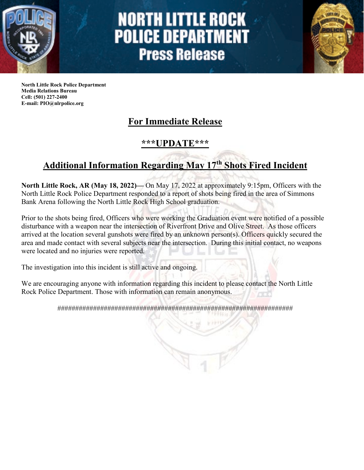

# **NORTH LITTLE ROCK POLICE DEPARTMENT Press Release**



**North Little Rock Police Department Media Relations Bureau Cell: (501) 227-2400 E-mail: PIO@nlrpolice.org**

### **For Immediate Release**

#### **\*\*\*UPDATE\*\*\***

## **Additional Information Regarding May 17th Shots Fired Incident**

**North Little Rock, AR (May 18, 2022)—** On May 17, 2022 at approximately 9:15pm, Officers with the North Little Rock Police Department responded to a report of shots being fired in the area of Simmons Bank Arena following the North Little Rock High School graduation.

Prior to the shots being fired, Officers who were working the Graduation event were notified of a possible disturbance with a weapon near the intersection of Riverfront Drive and Olive Street. As those officers arrived at the location several gunshots were fired by an unknown person(s). Officers quickly secured the area and made contact with several subjects near the intersection. During this initial contact, no weapons were located and no injuries were reported.

The investigation into this incident is still active and ongoing.

We are encouraging anyone with information regarding this incident to please contact the North Little Rock Police Department. Those with information can remain anonymous.

##################################################################